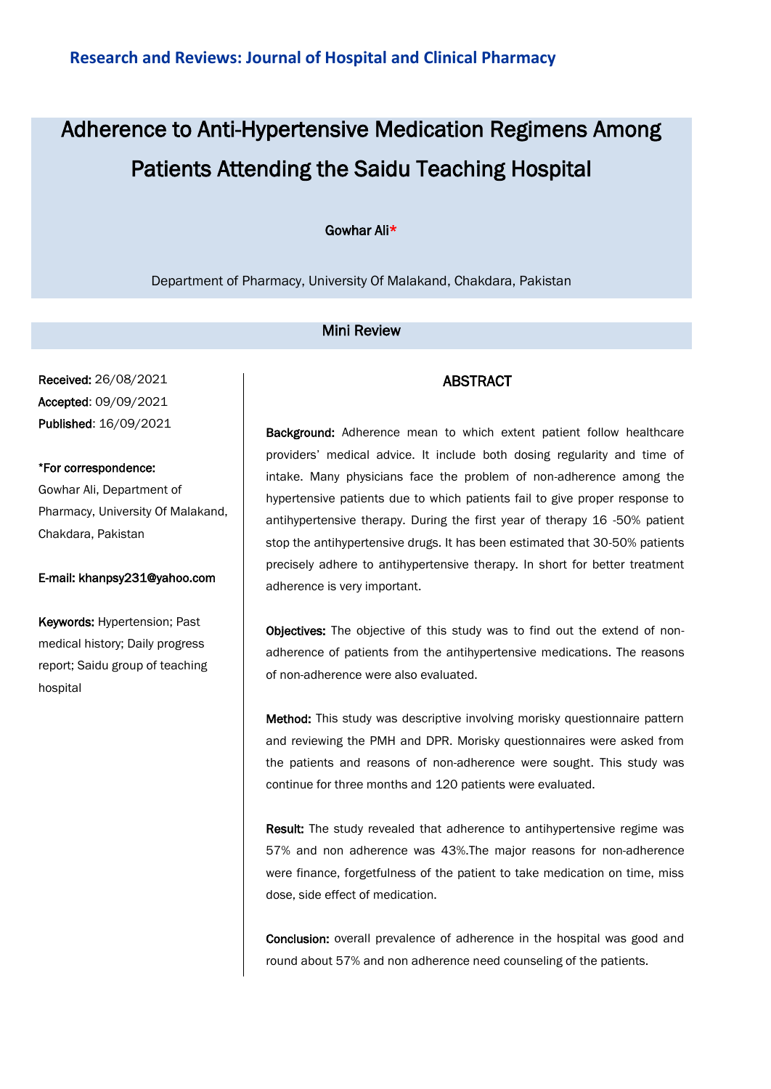# Adherence to Anti-Hypertensive Medication Regimens Among Patients Attending the Saidu Teaching Hospital

#### Gowhar Ali\*

Department of Pharmacy, University Of Malakand, Chakdara, Pakistan

## Mini Review

Received: 26/08/2021 Accepted: 09/09/2021 Published: 16/09/2021

#### \*For correspondence:

Gowhar Ali, Department of Pharmacy, University Of Malakand, Chakdara, Pakistan

#### E-mail: khanpsy231@yahoo.com

Keywords: Hypertension; Past medical history; Daily progress report; Saidu group of teaching hospital

## ABSTRACT

Background: Adherence mean to which extent patient follow healthcare providers' medical advice. It include both dosing regularity and time of intake. Many physicians face the problem of non-adherence among the hypertensive patients due to which patients fail to give proper response to antihypertensive therapy. During the first year of therapy 16 -50% patient stop the antihypertensive drugs. It has been estimated that 30-50% patients precisely adhere to antihypertensive therapy. In short for better treatment adherence is very important.

Objectives: The objective of this study was to find out the extend of nonadherence of patients from the antihypertensive medications. The reasons of non-adherence were also evaluated.

Method: This study was descriptive involving morisky questionnaire pattern and reviewing the PMH and DPR. Morisky questionnaires were asked from the patients and reasons of non-adherence were sought. This study was continue for three months and 120 patients were evaluated.

Result: The study revealed that adherence to antihypertensive regime was 57% and non adherence was 43%.The major reasons for non-adherence were finance, forgetfulness of the patient to take medication on time, miss dose, side effect of medication.

Conclusion: overall prevalence of adherence in the hospital was good and round about 57% and non adherence need counseling of the patients.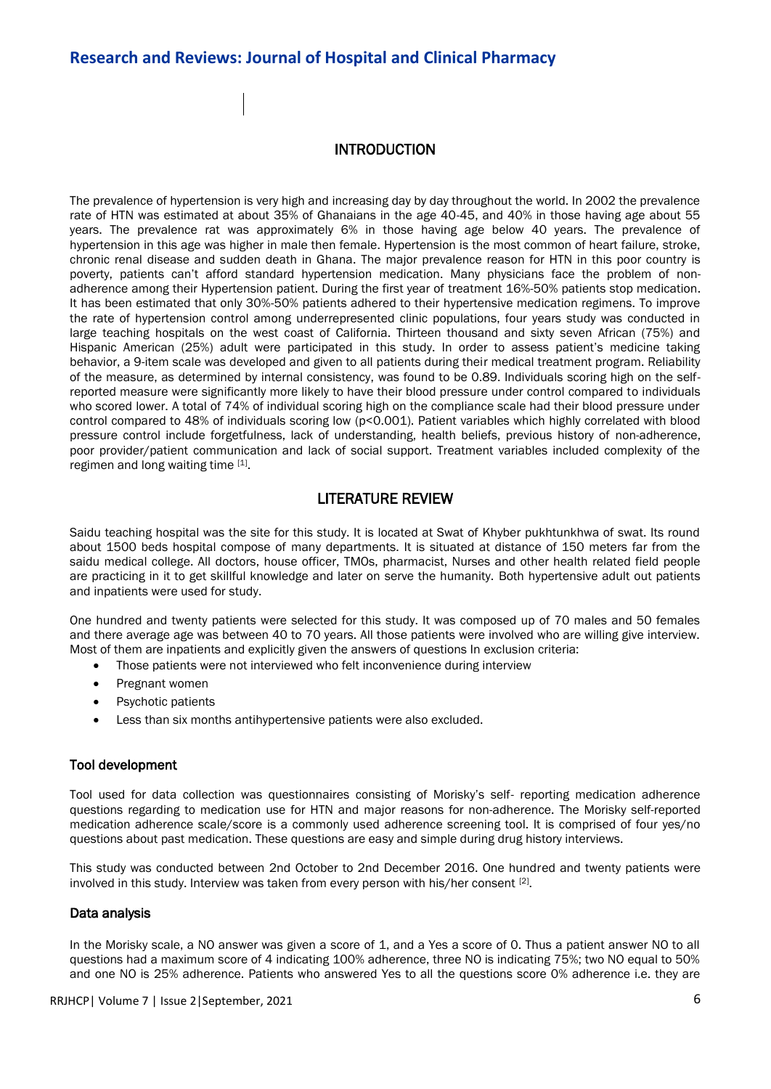## **Research and Reviews: Journal of Hospital and Clinical Pharmacy**

#### INTRODUCTION

The prevalence of hypertension is very high and increasing day by day throughout the world. In 2002 the prevalence rate of HTN was estimated at about 35% of Ghanaians in the age 40-45, and 40% in those having age about 55 years. The prevalence rat was approximately 6% in those having age below 40 years. The prevalence of hypertension in this age was higher in male then female. Hypertension is the most common of heart failure, stroke, chronic renal disease and sudden death in Ghana. The major prevalence reason for HTN in this poor country is poverty, patients can't afford standard hypertension medication. Many physicians face the problem of nonadherence among their Hypertension patient. During the first year of treatment 16%-50% patients stop medication. It has been estimated that only 30%-50% patients adhered to their hypertensive medication regimens. To improve the rate of hypertension control among underrepresented clinic populations, four years study was conducted in large teaching hospitals on the west coast of California. Thirteen thousand and sixty seven African (75%) and Hispanic American (25%) adult were participated in this study. In order to assess patient's medicine taking behavior, a 9-item scale was developed and given to all patients during their medical treatment program. Reliability of the measure, as determined by internal consistency, was found to be 0.89. Individuals scoring high on the selfreported measure were significantly more likely to have their blood pressure under control compared to individuals who scored lower. A total of 74% of individual scoring high on the compliance scale had their blood pressure under control compared to 48% of individuals scoring low (p<0.001). Patient variables which highly correlated with blood pressure control include forgetfulness, lack of understanding, health beliefs, previous history of non-adherence, poor provider/patient communication and lack of social support. Treatment variables included complexity of the regimen and long waiting time [1].

## LITERATURE REVIEW

Saidu teaching hospital was the site for this study. It is located at Swat of Khyber pukhtunkhwa of swat. Its round about 1500 beds hospital compose of many departments. It is situated at distance of 150 meters far from the saidu medical college. All doctors, house officer, TMOs, pharmacist, Nurses and other health related field people are practicing in it to get skillful knowledge and later on serve the humanity. Both hypertensive adult out patients and inpatients were used for study.

One hundred and twenty patients were selected for this study. It was composed up of 70 males and 50 females and there average age was between 40 to 70 years. All those patients were involved who are willing give interview. Most of them are inpatients and explicitly given the answers of questions In exclusion criteria:

- Those patients were not interviewed who felt inconvenience during interview
- Pregnant women
- Psychotic patients
- Less than six months antihypertensive patients were also excluded.

#### Tool development

Tool used for data collection was questionnaires consisting of Morisky's self- reporting medication adherence questions regarding to medication use for HTN and major reasons for non-adherence. The Morisky self-reported medication adherence scale/score is a commonly used adherence screening tool. It is comprised of four yes/no questions about past medication. These questions are easy and simple during drug history interviews.

This study was conducted between 2nd October to 2nd December 2016. One hundred and twenty patients were involved in this study. Interview was taken from every person with his/her consent  $[2]$ .

#### Data analysis

In the Morisky scale, a NO answer was given a score of 1, and a Yes a score of 0. Thus a patient answer NO to all questions had a maximum score of 4 indicating 100% adherence, three NO is indicating 75%; two NO equal to 50% and one NO is 25% adherence. Patients who answered Yes to all the questions score 0% adherence i.e. they are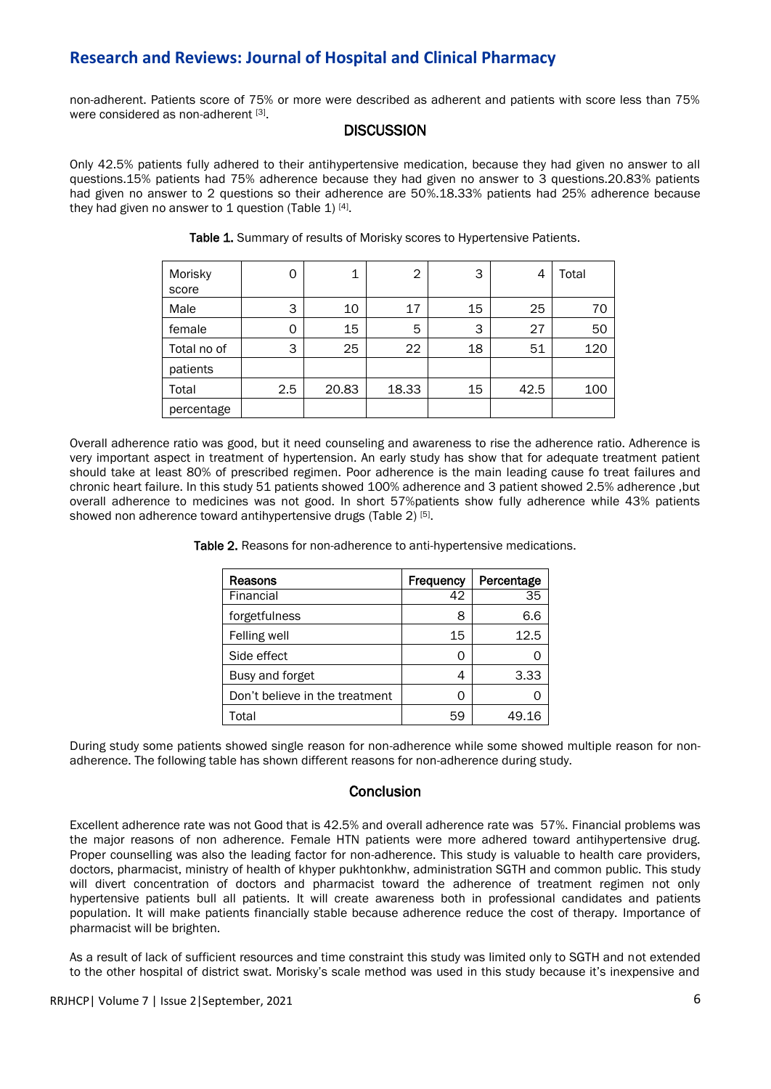# **Research and Reviews: Journal of Hospital and Clinical Pharmacy**

non-adherent. Patients score of 75% or more were described as adherent and patients with score less than 75% were considered as non-adherent [3].

## **DISCUSSION**

Only 42.5% patients fully adhered to their antihypertensive medication, because they had given no answer to all questions.15% patients had 75% adherence because they had given no answer to 3 questions.20.83% patients had given no answer to 2 questions so their adherence are 50%.18.33% patients had 25% adherence because they had given no answer to 1 question (Table 1)  $[4]$ .

| Morisky     | Ω        | 1     | $\overline{2}$ | 3  | 4    | Total |
|-------------|----------|-------|----------------|----|------|-------|
| score       |          |       |                |    |      |       |
| Male        | 3        | 10    | 17             | 15 | 25   | 70    |
| female      | $\Omega$ | 15    | 5              | 3  | 27   | 50    |
| Total no of | 3        | 25    | 22             | 18 | 51   | 120   |
| patients    |          |       |                |    |      |       |
| Total       | 2.5      | 20.83 | 18.33          | 15 | 42.5 | 100   |
| percentage  |          |       |                |    |      |       |

Table 1. Summary of results of Morisky scores to Hypertensive Patients.

Overall adherence ratio was good, but it need counseling and awareness to rise the adherence ratio. Adherence is very important aspect in treatment of hypertension. An early study has show that for adequate treatment patient should take at least 80% of prescribed regimen. Poor adherence is the main leading cause fo treat failures and chronic heart failure. In this study 51 patients showed 100% adherence and 3 patient showed 2.5% adherence ,but overall adherence to medicines was not good. In short 57%patients show fully adherence while 43% patients showed non adherence toward antihypertensive drugs (Table 2)<sup>[5]</sup>.

Table 2. Reasons for non-adherence to anti-hypertensive medications.

| Reasons                        | Frequency | Percentage |
|--------------------------------|-----------|------------|
| Financial                      | 42        | 35         |
| forgetfulness                  | 8         | 6.6        |
| Felling well                   | 15        | 12.5       |
| Side effect                    | Ω         |            |
| Busy and forget                |           | 3.33       |
| Don't believe in the treatment | Ω         |            |
| Total                          | 59        | 49.16      |

During study some patients showed single reason for non-adherence while some showed multiple reason for nonadherence. The following table has shown different reasons for non-adherence during study.

#### **Conclusion**

Excellent adherence rate was not Good that is 42.5% and overall adherence rate was 57%. Financial problems was the major reasons of non adherence. Female HTN patients were more adhered toward antihypertensive drug. Proper counselling was also the leading factor for non-adherence. This study is valuable to health care providers, doctors, pharmacist, ministry of health of khyper pukhtonkhw, administration SGTH and common public. This study will divert concentration of doctors and pharmacist toward the adherence of treatment regimen not only hypertensive patients bull all patients. It will create awareness both in professional candidates and patients population. It will make patients financially stable because adherence reduce the cost of therapy. Importance of pharmacist will be brighten.

As a result of lack of sufficient resources and time constraint this study was limited only to SGTH and not extended to the other hospital of district swat. Morisky's scale method was used in this study because it's inexpensive and